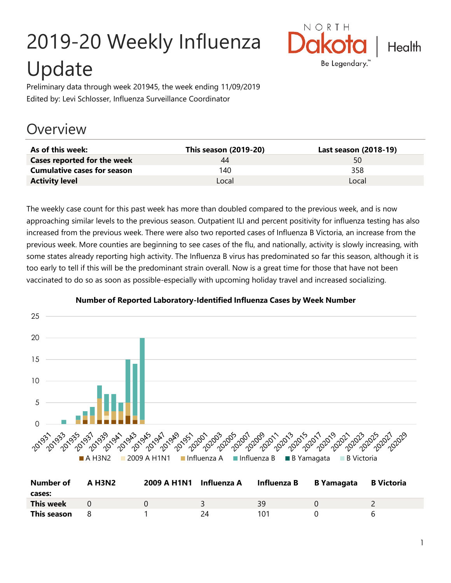# 2019-20 Weekly Influenza Update



Preliminary data through week 201945, the week ending 11/09/2019 Edited by: Levi Schlosser, Influenza Surveillance Coordinator

## **Overview**

| As of this week:                   | This season (2019-20) | Last season (2018-19) |
|------------------------------------|-----------------------|-----------------------|
| Cases reported for the week        | 44                    | 50                    |
| <b>Cumulative cases for season</b> | 140                   | 358                   |
| <b>Activity level</b>              | Local                 | Local                 |

The weekly case count for this past week has more than doubled compared to the previous week, and is now approaching similar levels to the previous season. Outpatient ILI and percent positivity for influenza testing has also increased from the previous week. There were also two reported cases of Influenza B Victoria, an increase from the previous week. More counties are beginning to see cases of the flu, and nationally, activity is slowly increasing, with some states already reporting high activity. The Influenza B virus has predominated so far this season, although it is too early to tell if this will be the predominant strain overall. Now is a great time for those that have not been vaccinated to do so as soon as possible-especially with upcoming holiday travel and increased socializing.



#### **Number of Reported Laboratory-Identified Influenza Cases by Week Number**

| Number of   | <b>A H3N2</b> | 2009 A H1N1 Influenza A |    | Influenza B | B Yamagata | <b>B</b> Victoria |
|-------------|---------------|-------------------------|----|-------------|------------|-------------------|
| cases:      |               |                         |    |             |            |                   |
| This week   |               |                         |    | ςq          |            |                   |
| This season |               |                         | 2Δ | 101         |            | h                 |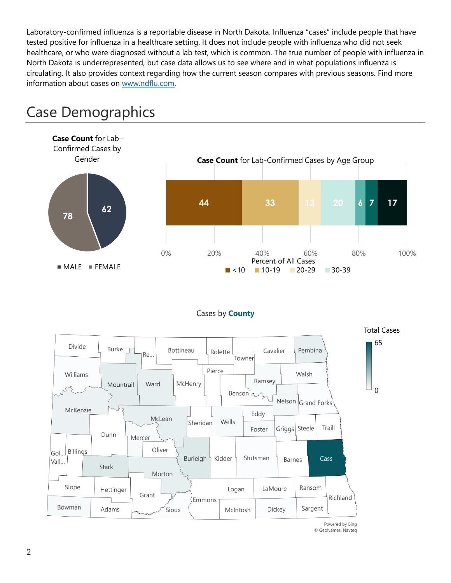Laboratory-confirmed influenza is a reportable disease in North Dakota. Influenza "cases" include people that have tested positive for influenza in a healthcare setting. It does not include people with influenza who did not seek healthcare, or who were diagnosed without a lab test, which is common. The true number of people with influenza in North Dakota is underrepresented, but case data allows us to see where and in what populations influenza is circulating. It also provides context regarding how the current season compares with previous seasons. Find more information about cases on [www.ndflu.com.](file://///nd.gov/doh/DOH-DATA/MSS/DC/PROGRAM/IMMUNE/Immunize/Influenza/Inf18-19/Surveillance/Weekly%20Summaries/www.ndflu.com)



## Case Demographics

#### Cases by **County**



© GeoNames, Navteq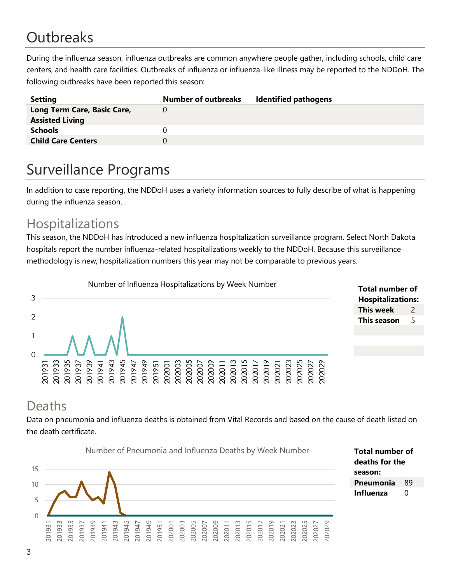# **Outbreaks**

During the influenza season, influenza outbreaks are common anywhere people gather, including schools, child care centers, and health care facilities. Outbreaks of influenza or influenza-like illness may be reported to the NDDoH. The following outbreaks have been reported this season:

| <b>Setting</b>              | <b>Number of outbreaks</b> | <b>Identified pathogens</b> |
|-----------------------------|----------------------------|-----------------------------|
| Long Term Care, Basic Care, |                            |                             |
| <b>Assisted Living</b>      |                            |                             |
| <b>Schools</b>              |                            |                             |
| <b>Child Care Centers</b>   |                            |                             |
|                             |                            |                             |

## Surveillance Programs

In addition to case reporting, the NDDoH uses a variety information sources to fully describe of what is happening during the influenza season.

#### Hospitalizations

This season, the NDDoH has introduced a new influenza hospitalization surveillance program. Select North Dakota hospitals report the number influenza-related hospitalizations weekly to the NDDoH. Because this surveillance methodology is new, hospitalization numbers this year may not be comparable to previous years.



| <b>Total number of</b>   |               |  |  |  |
|--------------------------|---------------|--|--|--|
| <b>Hospitalizations:</b> |               |  |  |  |
| This week                | $\mathcal{P}$ |  |  |  |
| This season              | 5             |  |  |  |
|                          |               |  |  |  |

#### Deaths

Data on pneumonia and influenza deaths is obtained from Vital Records and based on the cause of death listed on the death certificate.

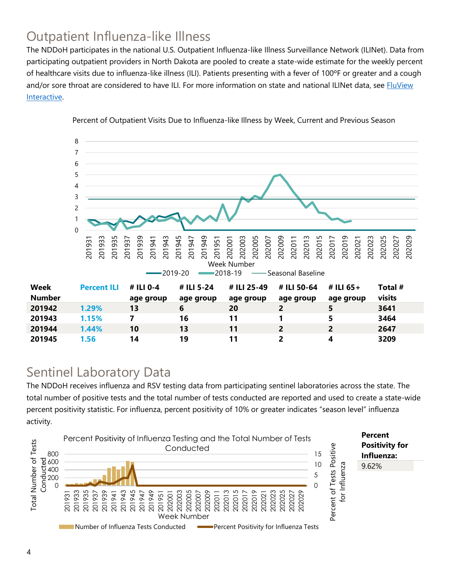### Outpatient Influenza-like Illness

The NDDoH participates in the national U.S. Outpatient Influenza-like Illness Surveillance Network (ILINet). Data from participating outpatient providers in North Dakota are pooled to create a state-wide estimate for the weekly percent of healthcare visits due to influenza-like illness (ILI). Patients presenting with a fever of 100ºF or greater and a cough and/or sore throat are considered to have ILI. For more information on state and national ILINet data, see **FluView** [Interactive.](https://gis.cdc.gov/grasp/fluview/fluportaldashboard.html)



Percent of Outpatient Visits Due to Influenza-like Illness by Week, Current and Previous Season

#### Sentinel Laboratory Data

The NDDoH receives influenza and RSV testing data from participating sentinel laboratories across the state. The total number of positive tests and the total number of tests conducted are reported and used to create a state-wide percent positivity statistic. For influenza, percent positivity of 10% or greater indicates "season level" influenza activity.

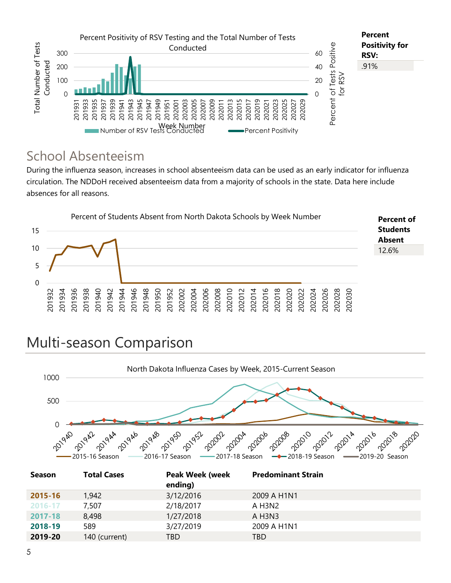![](_page_4_Figure_0.jpeg)

#### School Absenteeism

During the influenza season, increases in school absenteeism data can be used as an early indicator for influenza circulation. The NDDoH received absenteeism data from a majority of schools in the state. Data here include absences for all reasons.

![](_page_4_Figure_3.jpeg)

## Multi-season Comparison

![](_page_4_Figure_5.jpeg)